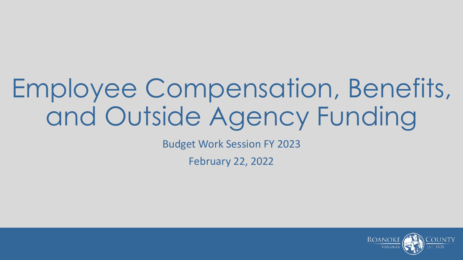# Employee Compensation, Benefits, and Outside Agency Funding

Budget Work Session FY 2023

February 22, 2022

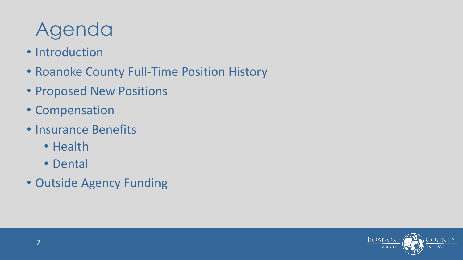#### Agenda

- Introduction
- Roanoke County Full-Time Position History
- Proposed New Positions
- Compensation
- Insurance Benefits
	- Health
	- Dental
- Outside Agency Funding

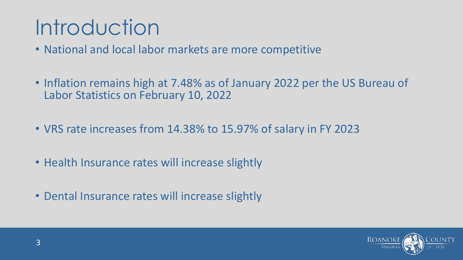### Introduction

- National and local labor markets are more competitive
- Inflation remains high at 7.48% as of January 2022 per the US Bureau of Labor Statistics on February 10, 2022
- VRS rate increases from 14.38% to 15.97% of salary in FY 2023
- Health Insurance rates will increase slightly
- Dental Insurance rates will increase slightly

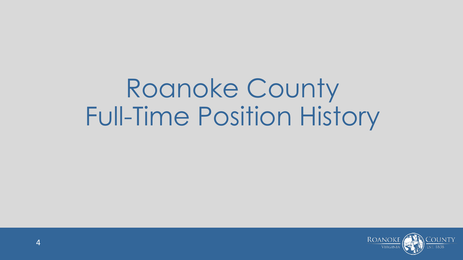# Roanoke County Full-Time Position History

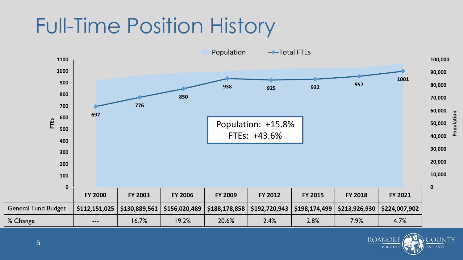### Full-Time Position History



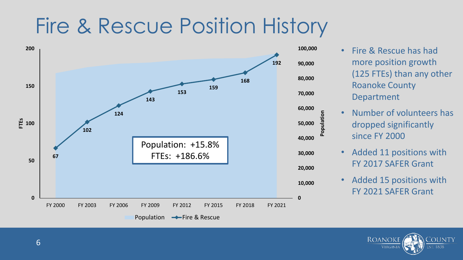#### Fire & Rescue Position History



- Fire & Rescue has had more position growth (125 FTEs) than any other Roanoke County Department
- Number of volunteers has dropped significantly since FY 2000
- Added 11 positions with FY 2017 SAFER Grant
- Added 15 positions with FY 2021 SAFER Grant

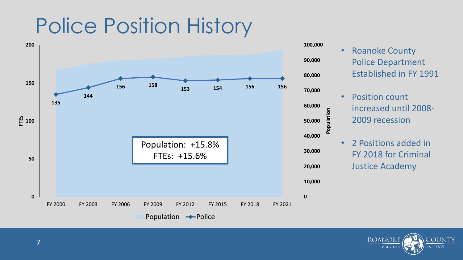### Police Position History



- Roanoke County Police Department Established in FY 1991 • Position count increased until 2008- 2009 recession • 2 Positions added in FY 2018 for Criminal **Population**
	- Justice Academy

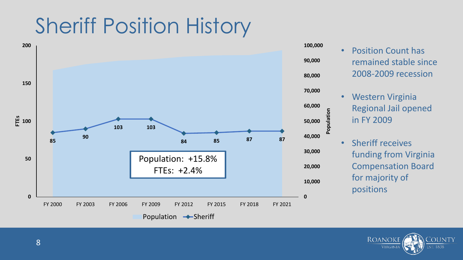### Sheriff Position History



• Position Count has remained stable since 2008-2009 recession • Western Virginia

Regional Jail opened in FY 2009

**Population**

• Sheriff receives funding from Virginia Compensation Board for majority of positions

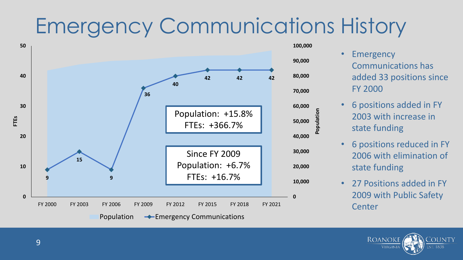### Emergency Communications History



- Emergency Communications has added 33 positions since FY 2000
- 6 positions added in FY 2003 with increase in state funding

**Population**

- 6 positions reduced in FY 2006 with elimination of state funding
- 27 Positions added in FY 2009 with Public Safety **Center**

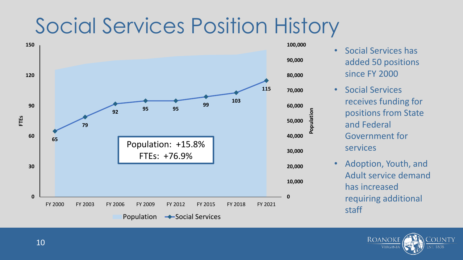### Social Services Position History



- Social Services has added 50 positions since FY 2000
- Social Services receives funding for positions from State and Federal Government for services

**Population**

• Adoption, Youth, and Adult service demand has increased requiring additional staff

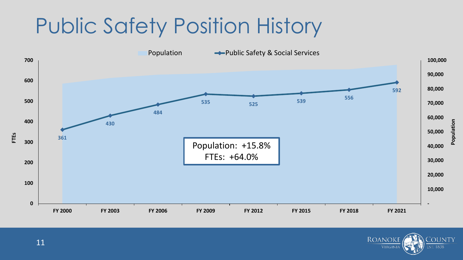### Public Safety Position History



**ROANOKE** 

**VIRGINIA** 

**COUNTY** 

**EST. 1838**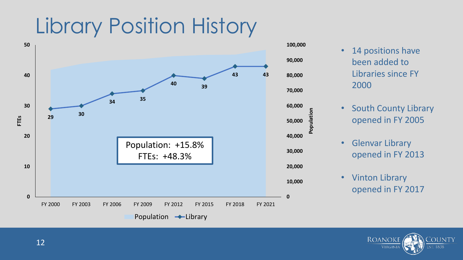### Library Position History



- 14 positions have been added to Libraries since FY 2000
- South County Library opened in FY 2005
- Glenvar Library opened in FY 2013

**Population**

• Vinton Library opened in FY 2017

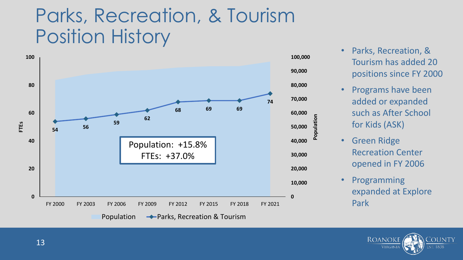#### Parks, Recreation, & Tourism Position History



- Parks, Recreation, & Tourism has added 20 positions since FY 2000
- Programs have been added or expanded such as After School for Kids (ASK)
- Green Ridge Recreation Center opened in FY 2006
- Programming expanded at Explore Park

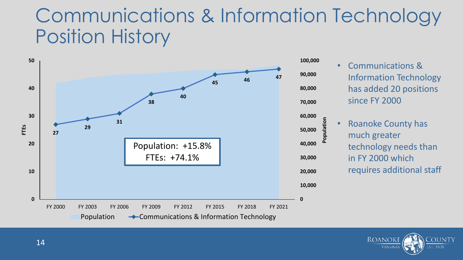#### Communications & Information Technology Position History



- Communications & Information Technology has added 20 positions since FY 2000
- Roanoke County has much greater technology needs than in FY 2000 which requires additional staff

**Population**

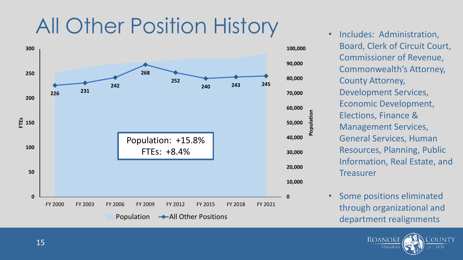### All Other Position History



- Includes: Administration, Board, Clerk of Circuit Court, Commissioner of Revenue, Commonwealth's Attorney, County Attorney, Development Services, Economic Development, Elections, Finance & Management Services, General Services, Human Resources, Planning, Public Information, Real Estate, and **Treasurer**
- Some positions eliminated through organizational and department realignments

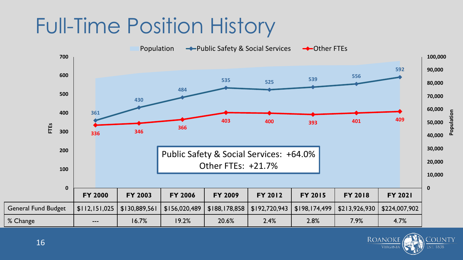### Full-Time Position History



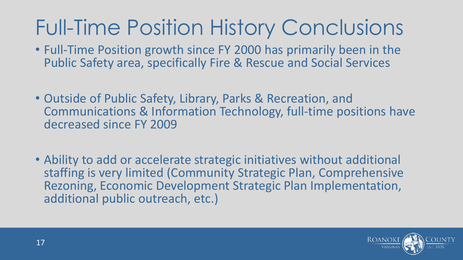### Full-Time Position History Conclusions

- Full-Time Position growth since FY 2000 has primarily been in the Public Safety area, specifically Fire & Rescue and Social Services
- Outside of Public Safety, Library, Parks & Recreation, and Communications & Information Technology, full-time positions have decreased since FY 2009
- Ability to add or accelerate strategic initiatives without additional staffing is very limited (Community Strategic Plan, Comprehensive Rezoning, Economic Development Strategic Plan Implementation, additional public outreach, etc.)

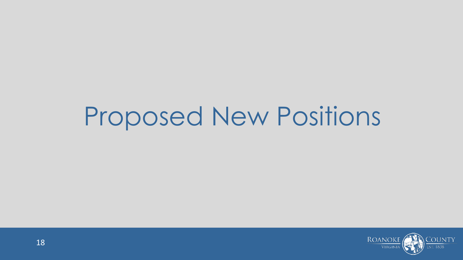## Proposed New Positions

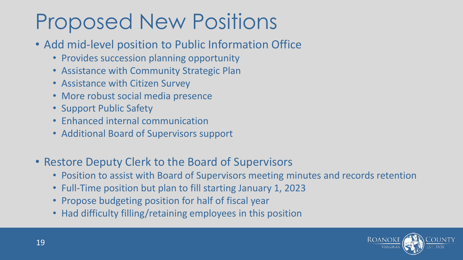### Proposed New Positions

- Add mid-level position to Public Information Office
	- Provides succession planning opportunity
	- Assistance with Community Strategic Plan
	- Assistance with Citizen Survey
	- More robust social media presence
	- Support Public Safety
	- Enhanced internal communication
	- Additional Board of Supervisors support
- Restore Deputy Clerk to the Board of Supervisors
	- Position to assist with Board of Supervisors meeting minutes and records retention
	- Full-Time position but plan to fill starting January 1, 2023
	- Propose budgeting position for half of fiscal year
	- Had difficulty filling/retaining employees in this position

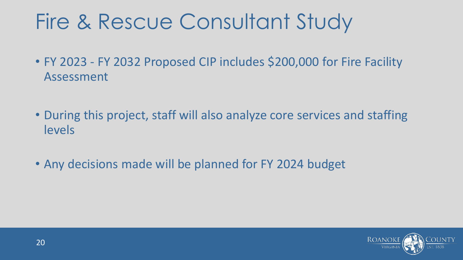### Fire & Rescue Consultant Study

- FY 2023 FY 2032 Proposed CIP includes \$200,000 for Fire Facility Assessment
- During this project, staff will also analyze core services and staffing levels
- Any decisions made will be planned for FY 2024 budget

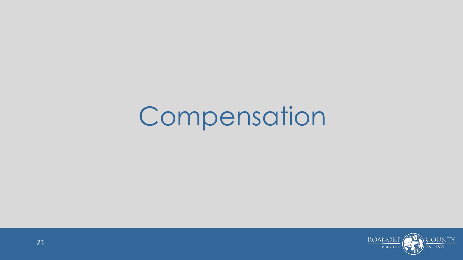# Compensation

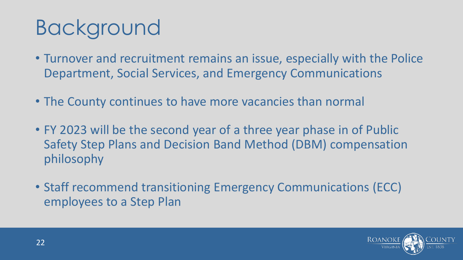### Background

- Turnover and recruitment remains an issue, especially with the Police Department, Social Services, and Emergency Communications
- The County continues to have more vacancies than normal
- FY 2023 will be the second year of a three year phase in of Public Safety Step Plans and Decision Band Method (DBM) compensation philosophy
- Staff recommend transitioning Emergency Communications (ECC) employees to a Step Plan

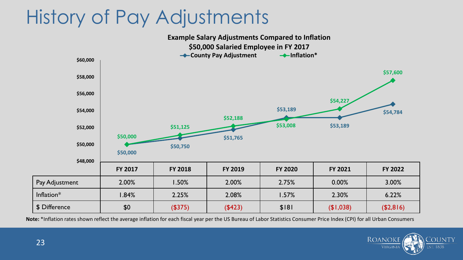#### History of Pay Adjustments

**FY 2017 FY 2018 FY 2019 FY 2020 FY 2021 FY 2022** Pay Adjustment 1 2.00% 1.50% 2.00% 2.75% 1 0.00% 3.00% Inflation\* 1.84% 2.25% 2.08% 1.57% 2.30% 6.22% \$ Difference \$0 (\$375) (\$423) \$181 (\$1,038) (\$2,816) **\$50,000 \$50,750 \$51,765 \$53,189 \$53,189 \$54,784 \$50,000 \$51,125 \$52,188 \$53,008 \$54,227 \$57,600 \$48,000 \$50,000 \$52,000 \$54,000 \$56,000 \$58,000 \$60,000 Example Salary Adjustments Compared to Inflation \$50,000 Salaried Employee in FY 2017 County Pay Adjustment Inflation\*** 

**Note:** \*Inflation rates shown reflect the average inflation for each fiscal year per the US Bureau of Labor Statistics Consumer Price Index (CPI) for all Urban Consumers

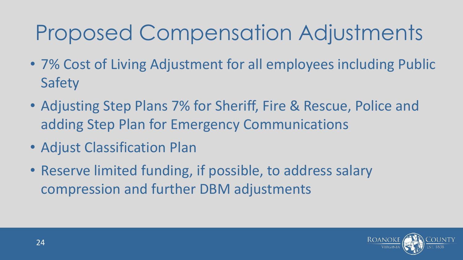### Proposed Compensation Adjustments

- 7% Cost of Living Adjustment for all employees including Public Safety
- Adjusting Step Plans 7% for Sheriff, Fire & Rescue, Police and adding Step Plan for Emergency Communications
- Adjust Classification Plan
- Reserve limited funding, if possible, to address salary compression and further DBM adjustments

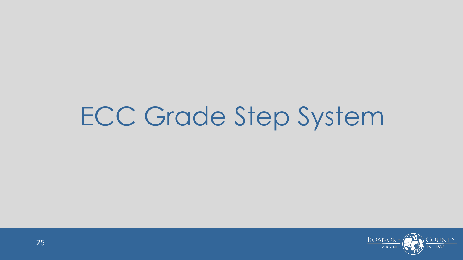## ECC Grade Step System

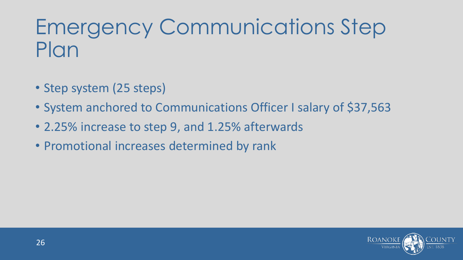### Emergency Communications Step Plan

- Step system (25 steps)
- System anchored to Communications Officer I salary of \$37,563
- 2.25% increase to step 9, and 1.25% afterwards
- Promotional increases determined by rank

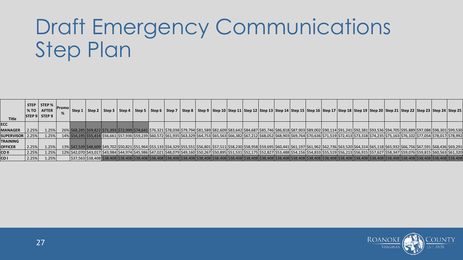### Draft Emergency Communications Step Plan

|                           | <b>STEP</b> | STEP %                | <b>Promol</b> |        |  |  |  |  |                                                                                                                                                                                                                                                            |  |  |  |  |  |  |  |
|---------------------------|-------------|-----------------------|---------------|--------|--|--|--|--|------------------------------------------------------------------------------------------------------------------------------------------------------------------------------------------------------------------------------------------------------------|--|--|--|--|--|--|--|
|                           | %TO         | <b>AFTER</b>          |               | Step 1 |  |  |  |  | Step 2   Step 3   Step 4   Step 5   Step 6   Step 7   Step 8   Step 9  Step 10  Step 11  Step 12  Step 13  Step 14  Step 16  Step 17  Step 18  Step 19  Step 20  Step 21  Step 22  Step 23  Step 23  Step 23  Step 23  Step                                |  |  |  |  |  |  |  |
| <b>Title</b>              |             | $ $ STEP 9 $ $ STEP 9 |               |        |  |  |  |  |                                                                                                                                                                                                                                                            |  |  |  |  |  |  |  |
|                           |             |                       |               |        |  |  |  |  |                                                                                                                                                                                                                                                            |  |  |  |  |  |  |  |
| <b>ECC</b>                |             |                       |               |        |  |  |  |  |                                                                                                                                                                                                                                                            |  |  |  |  |  |  |  |
| <b>MANAGER</b>            | 2.25%       | 1.25%                 |               |        |  |  |  |  | 26%\\$68,285\\$69,822\\$71,393\\$72,999\\$74,641\\$76,321\\$78,038\\$79,794\\$81,589\\$82,609\\$83,642\\$84,687\\$05,746\\$86,818\\$87,903\\$89,002\\$90,114\\$91,241\\$92,381\\$92,381\\$93,536\\$94,705\\$95,889\\$97,088\\$98,301\\$99,530              |  |  |  |  |  |  |  |
| <b>SUPERVISOR   2.25%</b> |             | 1.25%                 |               |        |  |  |  |  | 14% \$54,195 \$55,414 \$56,661 \$57,936 \$59,239 \$60,572 \$61,935 \$63,329 \$64,753 \$65,563 \$66,382 \$67,212 \$68,052 \$68,903 \$69,764 \$70,636 \$71,519 \$72,413 \$73,318 \$74,235 \$75,163 \$75,163 \$76,102 \$77,054 \$78,017 \$78,992              |  |  |  |  |  |  |  |
| <b>TRAINING</b>           |             |                       |               |        |  |  |  |  |                                                                                                                                                                                                                                                            |  |  |  |  |  |  |  |
| <b>OFFICER</b>            | 2.25%       | 1.25%                 |               |        |  |  |  |  | 13% \$47,539 \$48,609 \$49,702 \$50,821 \$51,964 \$53,133 \$54,329 \$55,551 \$56,801 \$57,511 \$58,230 \$58,958 \$60,441 \$61,197 \$61,962 \$62,736 \$63,520 \$64,314 \$65,118 \$65,932 \$66,756 \$67,591 \$68,436 \$67,591 \$68,436 \$69,291              |  |  |  |  |  |  |  |
| CO II                     | 2.25%       | 1.25%                 |               |        |  |  |  |  | 12%\542,070\543,017\543,984\544,974\545,986\547,021\548,079\549,160\550,267\550,895\551,531\552,175\552,827\553,488\554,156\554,833\555,519\556,915\556,915\557,627\558,347\559,076\559,815\560,563\561,320\559,815\560,563\564                            |  |  |  |  |  |  |  |
| CO <sub>1</sub>           | 2.25%       | 1.25%                 |               |        |  |  |  |  | 538,408 \$38,408 \$38,408 \$38,408 \$38,408 \$38,408 \$38,408 \$38,408 \$38,408 \$38,408 \$38,408 \$38,408 \$38,408 \$38,408 \$38,408 \$38,408 \$38,408 \$38,408 \$38,408 \$38,408 \$38,408 \$38,408 \$38,408 \$38,408 \$38,408 \$38,408 \$38,408 \$38,408 |  |  |  |  |  |  |  |

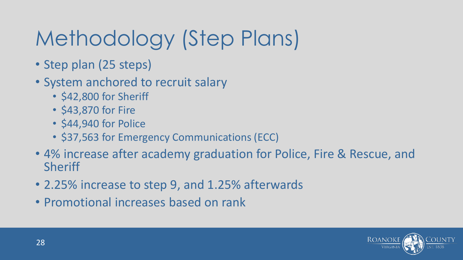## Methodology (Step Plans)

- Step plan (25 steps)
- System anchored to recruit salary
	- \$42,800 for Sheriff
	- \$43,870 for Fire
	- \$44,940 for Police
	- \$37,563 for Emergency Communications (ECC)
- 4% increase after academy graduation for Police, Fire & Rescue, and Sheriff
- 2.25% increase to step 9, and 1.25% afterwards
- Promotional increases based on rank

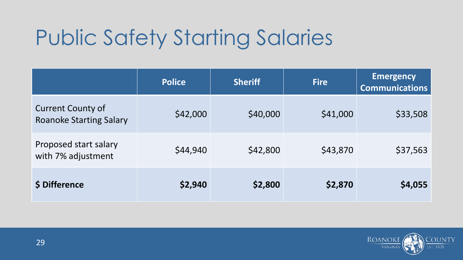### Public Safety Starting Salaries

|                                                            | <b>Police</b> | <b>Sheriff</b> | <b>Fire</b> | <b>Emergency</b><br><b>Communications</b> |
|------------------------------------------------------------|---------------|----------------|-------------|-------------------------------------------|
| <b>Current County of</b><br><b>Roanoke Starting Salary</b> | \$42,000      | \$40,000       | \$41,000    | \$33,508                                  |
| Proposed start salary<br>with 7% adjustment                | \$44,940      | \$42,800       | \$43,870    | \$37,563                                  |
| \$ Difference                                              | \$2,940       | \$2,800        | \$2,870     | \$4,055                                   |

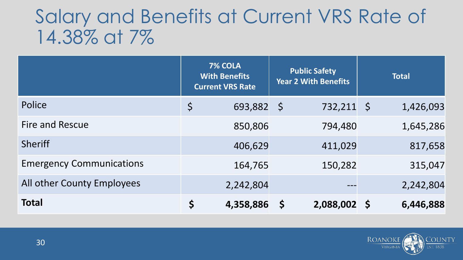#### Salary and Benefits at Current VRS Rate of 14.38% at 7%

|                                 | 7% COLA<br><b>With Benefits</b><br><b>Current VRS Rate</b> |           |             | <b>Public Safety</b><br><b>Year 2 With Benefits</b> | <b>Total</b> |           |  |
|---------------------------------|------------------------------------------------------------|-----------|-------------|-----------------------------------------------------|--------------|-----------|--|
| Police                          | \$                                                         | 693,882   | $\zeta$     | 732,211 \$                                          |              | 1,426,093 |  |
| <b>Fire and Rescue</b>          |                                                            | 850,806   |             | 794,480                                             |              | 1,645,286 |  |
| <b>Sheriff</b>                  |                                                            | 406,629   |             | 411,029                                             |              | 817,658   |  |
| <b>Emergency Communications</b> |                                                            | 164,765   |             | 150,282                                             |              | 315,047   |  |
| All other County Employees      |                                                            | 2,242,804 |             | $- - -$                                             |              | 2,242,804 |  |
| <b>Total</b>                    | \$                                                         | 4,358,886 | $\varsigma$ | 2,088,002 \$                                        |              | 6,446,888 |  |

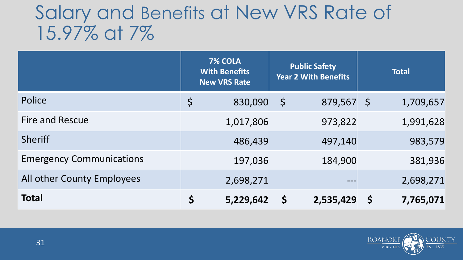#### Salary and Benefits at New VRS Rate of 15.97% at 7%

|                                 | 7% COLA<br><b>With Benefits</b><br><b>New VRS Rate</b> |             | <b>Public Safety</b><br><b>Year 2 With Benefits</b> |         | <b>Total</b>             |
|---------------------------------|--------------------------------------------------------|-------------|-----------------------------------------------------|---------|--------------------------|
| Police                          | \$<br>830,090                                          | $\varsigma$ | 879,567                                             | $\zeta$ | 1,709,657                |
| <b>Fire and Rescue</b>          | 1,017,806                                              |             | 973,822                                             |         | 1,991,628                |
| <b>Sheriff</b>                  | 486,439                                                |             | 497,140                                             |         | 983,579                  |
| <b>Emergency Communications</b> | 197,036                                                |             | 184,900                                             |         | 381,936                  |
| All other County Employees      | 2,698,271                                              |             |                                                     |         | 2,698,271                |
| <b>Total</b>                    | \$<br>5,229,642                                        | \$          | 2,535,429                                           |         | 7,765,071<br>$\mathsf S$ |

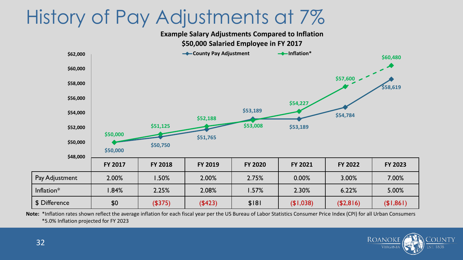#### History of Pay Adjustments at 7%

**Example Salary Adjustments Compared to Inflation**



**Note:** \*Inflation rates shown reflect the average inflation for each fiscal year per the US Bureau of Labor Statistics Consumer Price Index (CPI) for all Urban Consumers \*5.0% Inflation projected for FY 2023

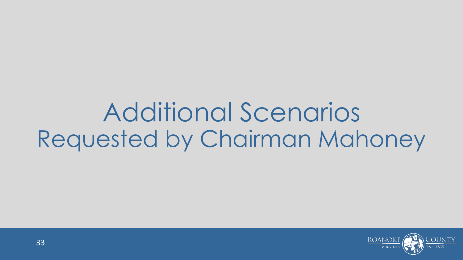## Additional Scenarios Requested by Chairman Mahoney

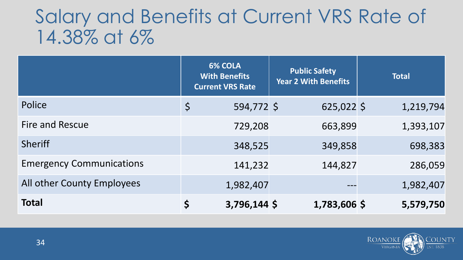#### Salary and Benefits at Current VRS Rate of 14.38% at 6%

|                                 | <b>6% COLA</b><br><b>With Benefits</b><br><b>Current VRS Rate</b> | <b>Public Safety</b><br><b>Year 2 With Benefits</b> | <b>Total</b> |
|---------------------------------|-------------------------------------------------------------------|-----------------------------------------------------|--------------|
| Police                          | \$<br>594,772 \$                                                  | $625,022$ \$                                        | 1,219,794    |
| <b>Fire and Rescue</b>          | 729,208                                                           | 663,899                                             | 1,393,107    |
| <b>Sheriff</b>                  | 348,525                                                           | 349,858                                             | 698,383      |
| <b>Emergency Communications</b> | 141,232                                                           | 144,827                                             | 286,059      |
| All other County Employees      | 1,982,407                                                         |                                                     | 1,982,407    |
| <b>Total</b>                    | 3,796,144 \$<br>Ś                                                 | 1,783,606 \$                                        | 5,579,750    |

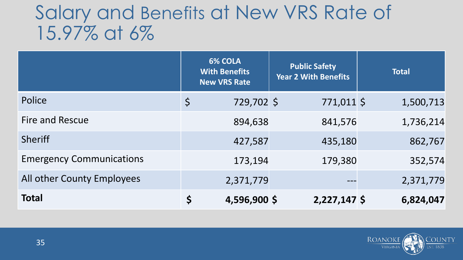#### Salary and Benefits at New VRS Rate of 15.97% at 6%

|                                 |         | <b>6% COLA</b><br><b>With Benefits</b><br><b>New VRS Rate</b> | <b>Public Safety</b><br><b>Year 2 With Benefits</b> | <b>Total</b> |
|---------------------------------|---------|---------------------------------------------------------------|-----------------------------------------------------|--------------|
| Police                          | $\zeta$ | 729,702 \$                                                    | 771,011 \$                                          | 1,500,713    |
| Fire and Rescue                 |         | 894,638                                                       | 841,576                                             | 1,736,214    |
| <b>Sheriff</b>                  |         | 427,587                                                       | 435,180                                             | 862,767      |
| <b>Emergency Communications</b> |         | 173,194                                                       | 179,380                                             | 352,574      |
| All other County Employees      |         | 2,371,779                                                     |                                                     | 2,371,779    |
| <b>Total</b>                    | \$      | 4,596,900 \$                                                  | $2,227,147$ \$                                      | 6,824,047    |

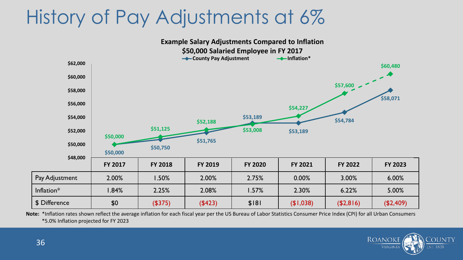#### History of Pay Adjustments at 6%



**Note:** \*Inflation rates shown reflect the average inflation for each fiscal year per the US Bureau of Labor Statistics Consumer Price Index (CPI) for all Urban Consumers \*5.0% Inflation projected for FY 2023

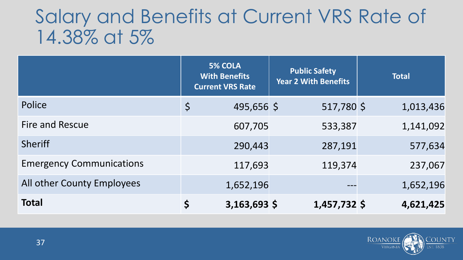#### Salary and Benefits at Current VRS Rate of 14.38% at 5%

|                                 | <b>5% COLA</b><br><b>With Benefits</b><br><b>Current VRS Rate</b> | <b>Public Safety</b><br><b>Year 2 With Benefits</b> | <b>Total</b> |
|---------------------------------|-------------------------------------------------------------------|-----------------------------------------------------|--------------|
| Police                          | 495,656 \$<br>\$                                                  | 517,780 \$                                          | 1,013,436    |
| <b>Fire and Rescue</b>          | 607,705                                                           | 533,387                                             | 1,141,092    |
| <b>Sheriff</b>                  | 290,443                                                           | 287,191                                             | 577,634      |
| <b>Emergency Communications</b> | 117,693                                                           | 119,374                                             | 237,067      |
| All other County Employees      | 1,652,196                                                         |                                                     | 1,652,196    |
| <b>Total</b>                    | Ś<br>$3,163,693$ \$                                               | 1,457,732 \$                                        | 4,621,425    |

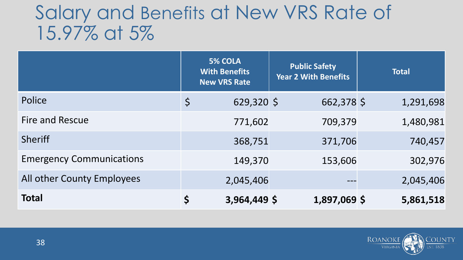#### Salary and Benefits at New VRS Rate of 15.97% at 5%

|                                 |             | <b>5% COLA</b><br><b>With Benefits</b><br><b>New VRS Rate</b> | <b>Public Safety</b><br><b>Year 2 With Benefits</b> | <b>Total</b> |
|---------------------------------|-------------|---------------------------------------------------------------|-----------------------------------------------------|--------------|
| Police                          | $\varsigma$ | $629,320$ \$                                                  | 662,378 \$                                          | 1,291,698    |
| <b>Fire and Rescue</b>          |             | 771,602                                                       | 709,379                                             | 1,480,981    |
| <b>Sheriff</b>                  |             | 368,751                                                       | 371,706                                             | 740,457      |
| <b>Emergency Communications</b> |             | 149,370                                                       | 153,606                                             | 302,976      |
| All other County Employees      |             | 2,045,406                                                     |                                                     | 2,045,406    |
| <b>Total</b>                    | \$          | 3,964,449 \$                                                  | 1,897,069 \$                                        | 5,861,518    |

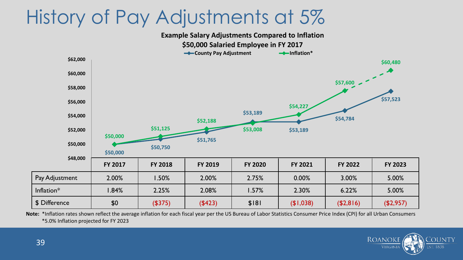#### History of Pay Adjustments at 5%

**FY 2017 FY 2018 FY 2019 FY 2020 FY 2021 FY 2022 FY 2023** Pay Adjustment | 2.00% | 1.50% | 2.00% | 2.75% | 0.00% | 3.00% | 5.00% Inflation\* 1.84% 2.25% 2.08% 1.57% 2.30% 6.22% 5.00% \$ Difference \$0 (\$375) (\$423) \$181 (\$1,038) (\$2,816) (\$2,957) **\$50,000 \$50,750 \$51,765 \$53,189 \$53,189 \$54,784 \$57,523 \$50,000 \$51,125 \$52,188 \$53,008 \$54,227 \$57,600 \$60,480 \$48,000 \$50,000 \$52,000 \$54,000 \$56,000 \$58,000 \$60,000 \$62,000 Example Salary Adjustments Compared to Inflation \$50,000 Salaried Employee in FY 2017 County Pay Adjustment Inflation\*** 

**Note:** \*Inflation rates shown reflect the average inflation for each fiscal year per the US Bureau of Labor Statistics Consumer Price Index (CPI) for all Urban Consumers \*5.0% Inflation projected for FY 2023

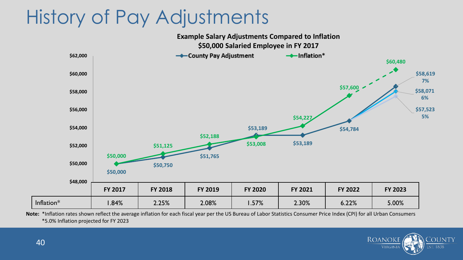#### History of Pay Adjustments

**Example Salary Adjustments Compared to Inflation**



**Note:** \*Inflation rates shown reflect the average inflation for each fiscal year per the US Bureau of Labor Statistics Consumer Price Index (CPI) for all Urban Consumers \*5.0% Inflation projected for FY 2023

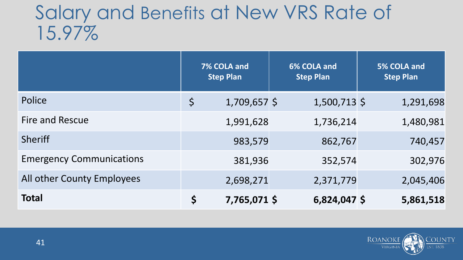#### Salary and Benefits at New VRS Rate of 15.97%

|                                 | 7% COLA and<br><b>Step Plan</b> |                | 6% COLA and<br><b>Step Plan</b> |  | 5% COLA and<br><b>Step Plan</b> |
|---------------------------------|---------------------------------|----------------|---------------------------------|--|---------------------------------|
| Police                          | $\varsigma$                     | $1,709,657$ \$ | $1,500,713$ \$                  |  | 1,291,698                       |
| Fire and Rescue                 |                                 | 1,991,628      | 1,736,214                       |  | 1,480,981                       |
| <b>Sheriff</b>                  |                                 | 983,579        | 862,767                         |  | 740,457                         |
| <b>Emergency Communications</b> |                                 | 381,936        | 352,574                         |  | 302,976                         |
| All other County Employees      |                                 | 2,698,271      | 2,371,779                       |  | 2,045,406                       |
| <b>Total</b>                    | \$                              | 7,765,071 \$   | $6,824,047$ \$                  |  | 5,861,518                       |

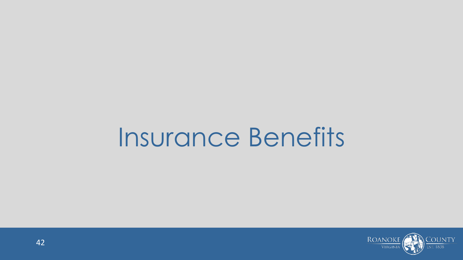## Insurance Benefits

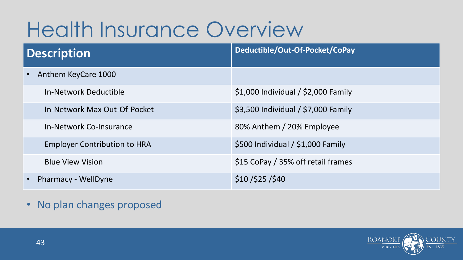### Health Insurance Overview

| Description                         | Deductible/Out-Of-Pocket/CoPay      |  |  |  |  |
|-------------------------------------|-------------------------------------|--|--|--|--|
| Anthem KeyCare 1000                 |                                     |  |  |  |  |
| <b>In-Network Deductible</b>        | \$1,000 Individual / \$2,000 Family |  |  |  |  |
| In-Network Max Out-Of-Pocket        | \$3,500 Individual / \$7,000 Family |  |  |  |  |
| In-Network Co-Insurance             | 80% Anthem / 20% Employee           |  |  |  |  |
| <b>Employer Contribution to HRA</b> | \$500 Individual / \$1,000 Family   |  |  |  |  |
| <b>Blue View Vision</b>             | \$15 CoPay / 35% off retail frames  |  |  |  |  |
| <b>Pharmacy - WellDyne</b>          | \$10/\$25/\$40                      |  |  |  |  |

• No plan changes proposed

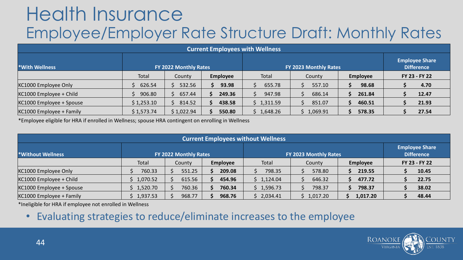#### Health Insurance Employee/Employer Rate Structure Draft: Monthly Rates

| <b>Current Employees with Wellness</b>                                 |            |            |                 |            |          |                 |                                            |  |  |  |  |
|------------------------------------------------------------------------|------------|------------|-----------------|------------|----------|-----------------|--------------------------------------------|--|--|--|--|
| <b>With Wellness</b><br>FY 2022 Monthly Rates<br>FY 2023 Monthly Rates |            |            |                 |            |          |                 | <b>Employee Share</b><br><b>Difference</b> |  |  |  |  |
|                                                                        | Total      | County     | <b>Employee</b> | Total      | County   | <b>Employee</b> | FY 23 - FY 22                              |  |  |  |  |
| KC1000 Employee Only                                                   | 626.54     | \$532.56   | 93.98           | 655.78     | 557.10   | 98.68           | 4.70                                       |  |  |  |  |
| $ $ KC1000 Employee + Child                                            | 906.80     | 657.44     | 249.36          | 947.98     | 686.14   | 261.84          | 12.47                                      |  |  |  |  |
| $ $ KC1000 Employee + Spouse                                           | \$1,253.10 | \$314.52   | 438.58          | \$1,311.59 | 851.07   | 460.51          | 21.93                                      |  |  |  |  |
| $ $ KC1000 Employee + Family                                           | \$1,573.74 | \$1,022.94 | 550.80          | \$1,648.26 | 1,069.91 | 578.35          | 27.54                                      |  |  |  |  |

\*Employee eligible for HRA if enrolled in Wellness; spouse HRA contingent on enrolling in Wellness

| <b>Current Employees without Wellness</b> |          |                       |                 |                       |                                            |                 |               |  |  |  |  |
|-------------------------------------------|----------|-----------------------|-----------------|-----------------------|--------------------------------------------|-----------------|---------------|--|--|--|--|
| <b>Without Wellness</b>                   |          | FY 2022 Monthly Rates |                 | FY 2023 Monthly Rates | <b>Employee Share</b><br><b>Difference</b> |                 |               |  |  |  |  |
|                                           | Total    | County                | <b>Employee</b> | Total                 | County                                     | <b>Employee</b> | FY 23 - FY 22 |  |  |  |  |
| KC1000 Employee Only                      | 760.33   | 551.25                | 209.08          | 798.35                | 578.80                                     | 219.55          | 10.45         |  |  |  |  |
| $ $ KC1000 Employee + Child               | 1,070.52 | 615.56                | 454.96          | \$1,124.04            | 646.32                                     | 477.72          | 22.75         |  |  |  |  |
| KC1000 Employee + Spouse                  | 1,520.70 | 760.36                | 760.34          | \$1,596.73            | 798.37                                     | 798.37          | 38.02         |  |  |  |  |
| $ $ KC1000 Employee + Family              | 1,937.53 | 968.77                | 968.76          | 2,034.41              | 1,017.20                                   | 1,017.20        | 48.44         |  |  |  |  |

\*Ineligible for HRA if employee not enrolled in Wellness

• Evaluating strategies to reduce/eliminate increases to the employee

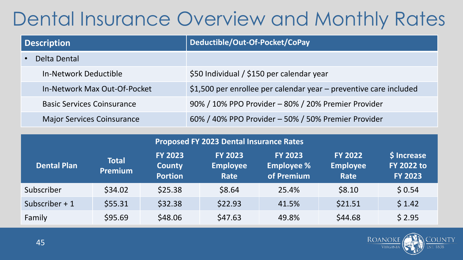#### Dental Insurance Overview and Monthly Rates

| Description                       | Deductible/Out-Of-Pocket/CoPay                                    |  |  |
|-----------------------------------|-------------------------------------------------------------------|--|--|
| Delta Dental                      |                                                                   |  |  |
| In-Network Deductible             | \$50 Individual / \$150 per calendar year                         |  |  |
| In-Network Max Out-Of-Pocket      | \$1,500 per enrollee per calendar year - preventive care included |  |  |
| <b>Basic Services Coinsurance</b> | 90% / 10% PPO Provider - 80% / 20% Premier Provider               |  |  |
| <b>Major Services Coinsurance</b> | 60% / 40% PPO Provider - 50% / 50% Premier Provider               |  |  |

|                    | <b>Proposed FY 2023 Dental Insurance Rates</b> |                                                   |                                           |                                                   |                                           |                                                    |  |
|--------------------|------------------------------------------------|---------------------------------------------------|-------------------------------------------|---------------------------------------------------|-------------------------------------------|----------------------------------------------------|--|
| <b>Dental Plan</b> | <b>Total</b><br><b>Premium</b>                 | <b>FY 2023</b><br><b>County</b><br><b>Portion</b> | <b>FY 2023</b><br><b>Employee</b><br>Rate | <b>FY 2023</b><br><b>Employee %</b><br>of Premium | <b>FY 2022</b><br><b>Employee</b><br>Rate | \$ Increase<br><b>FY 2022 to</b><br><b>FY 2023</b> |  |
| Subscriber         | \$34.02                                        | \$25.38                                           | \$8.64                                    | 25.4%                                             | \$8.10                                    | \$0.54                                             |  |
| Subscriber $+1$    | \$55.31                                        | \$32.38                                           | \$22.93                                   | 41.5%                                             | \$21.51                                   | \$1.42                                             |  |
| Family             | \$95.69                                        | \$48.06                                           | \$47.63                                   | 49.8%                                             | \$44.68                                   | \$2.95                                             |  |

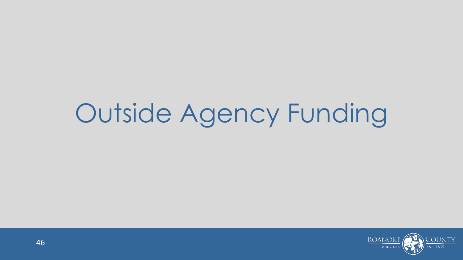# Outside Agency Funding

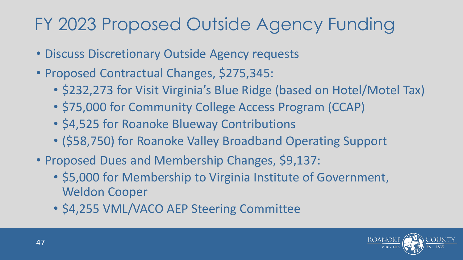#### FY 2023 Proposed Outside Agency Funding

- Discuss Discretionary Outside Agency requests
- Proposed Contractual Changes, \$275,345:
	- \$232,273 for Visit Virginia's Blue Ridge (based on Hotel/Motel Tax)
	- \$75,000 for Community College Access Program (CCAP)
	- \$4,525 for Roanoke Blueway Contributions
	- (\$58,750) for Roanoke Valley Broadband Operating Support
- Proposed Dues and Membership Changes, \$9,137:
	- \$5,000 for Membership to Virginia Institute of Government, Weldon Cooper
	- \$4,255 VML/VACO AEP Steering Committee